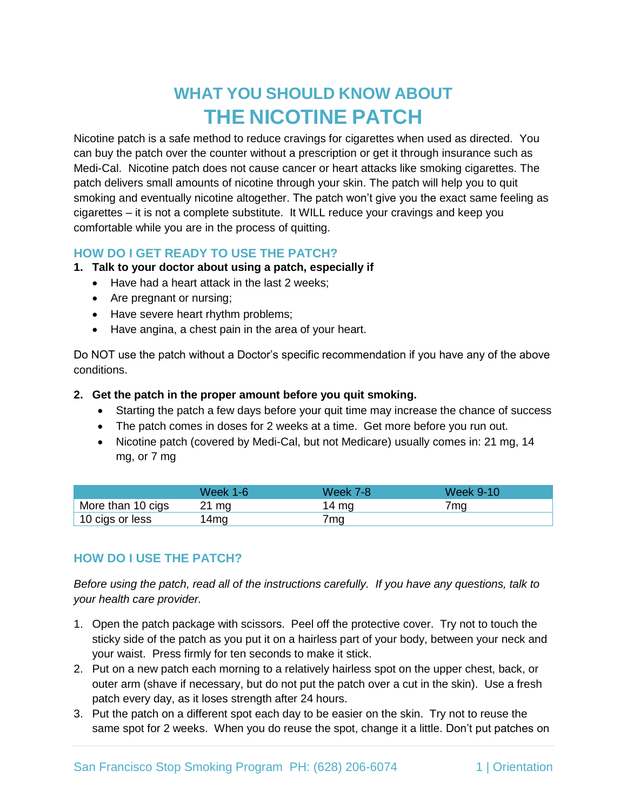# **WHAT YOU SHOULD KNOW ABOUT THE NICOTINE PATCH**

Nicotine patch is a safe method to reduce cravings for cigarettes when used as directed. You can buy the patch over the counter without a prescription or get it through insurance such as Medi-Cal. Nicotine patch does not cause cancer or heart attacks like smoking cigarettes. The patch delivers small amounts of nicotine through your skin. The patch will help you to quit smoking and eventually nicotine altogether. The patch won't give you the exact same feeling as cigarettes – it is not a complete substitute. It WILL reduce your cravings and keep you comfortable while you are in the process of quitting.

## **HOW DO I GET READY TO USE THE PATCH?**

- **1. Talk to your doctor about using a patch, especially if** 
	- Have had a heart attack in the last 2 weeks;
	- Are pregnant or nursing;
	- Have severe heart rhythm problems;
	- Have angina, a chest pain in the area of your heart.

Do NOT use the patch without a Doctor's specific recommendation if you have any of the above conditions.

#### **2. Get the patch in the proper amount before you quit smoking.**

- Starting the patch a few days before your quit time may increase the chance of success
- The patch comes in doses for 2 weeks at a time. Get more before you run out.
- Nicotine patch (covered by Medi-Cal, but not Medicare) usually comes in: 21 mg, 14 mg, or 7 mg

|                   | Week 1-6        | Week 7-8 | Week 9-10 |
|-------------------|-----------------|----------|-----------|
| More than 10 cigs | 21 mg           | 14 ma    | 7mq       |
| 10 cigs or less   | 4 <sub>mg</sub> | 7mg      |           |

## **HOW DO I USE THE PATCH?**

*Before using the patch, read all of the instructions carefully. If you have any questions, talk to your health care provider.*

- 1. Open the patch package with scissors. Peel off the protective cover. Try not to touch the sticky side of the patch as you put it on a hairless part of your body, between your neck and your waist. Press firmly for ten seconds to make it stick.
- 2. Put on a new patch each morning to a relatively hairless spot on the upper chest, back, or outer arm (shave if necessary, but do not put the patch over a cut in the skin). Use a fresh patch every day, as it loses strength after 24 hours.
- 3. Put the patch on a different spot each day to be easier on the skin. Try not to reuse the same spot for 2 weeks. When you do reuse the spot, change it a little. Don't put patches on